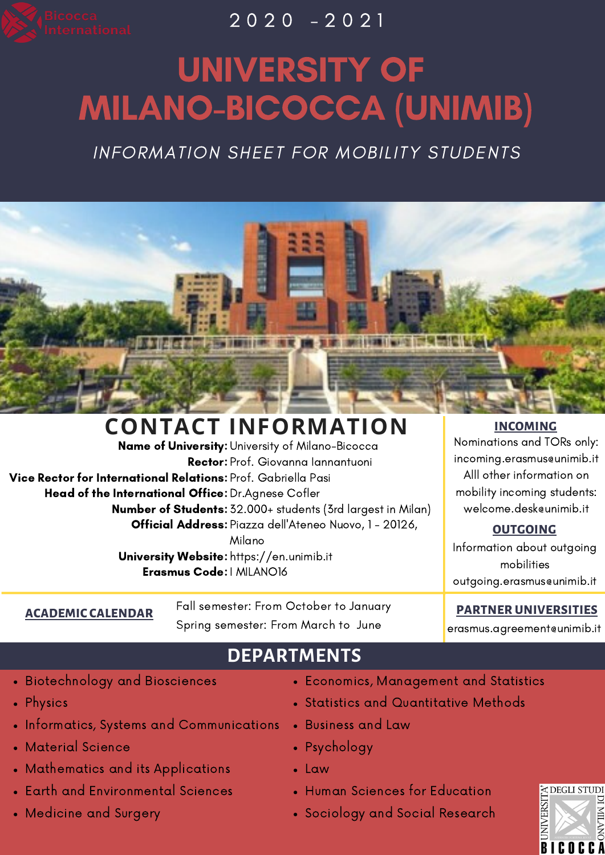

 $\overline{2020}$  -  $\overline{2021}$ 

# UNIVERSITY OF MILANO-BICOCCA (UNIMIB)

INFORMATION SHEET FOR MOBILITY STUDENTS

**ELECTRIC RESOLUTIONS ON RECORD TO A RELEASED FOR STREET REPORTS.** 

### **CONTACT INFORMATION**

**Name of University:** University of Milano-Bicocca **Rector:** Prof. Giovanna lannantuoni **Vice Rector for International Relations:** Prof. Gabriella Pasi **Head of the International Office:** Dr.Agnese Cofler **Number of Students:** 32.000+ students (3rd largest in Milan) **Official Address:** Piazza dell'Ateneo Nuovo, 1 - 20126, Milano  ${\sf University\, Website}$ : https://en.unimib.it **Erasmus Code:** I MILANO16

#### **INCOMING**

Nominations and TORs only: incoming.erasmus@unimib.it Alll other information on mobility incoming students: welcome.desk@unimib.it

#### **OUTGOING**

Information about outgoing mobilities outgoing.erasmus@unimib.it

#### **PARTNER UNIVERSITIES**

erasmus.agreement@unimib.it

## **DEPARTMENTS**

Biotechnology and Biosciences

**ACADEMIC CALENDAR**

- Physics
- Informatics, Systems and Communications
- Material Science
- Mathematics and its Applications
- Earth and Environmental Sciences
- Medicine and Surgery
- Economics, Management and Statistics
	- Statistics and Quantitative Methods
- Business and Law
- Psychology
- Law

Fall semester: From October to January Spring semester: From March to June

- Human Sciences for Education
- Sociology and Social Research